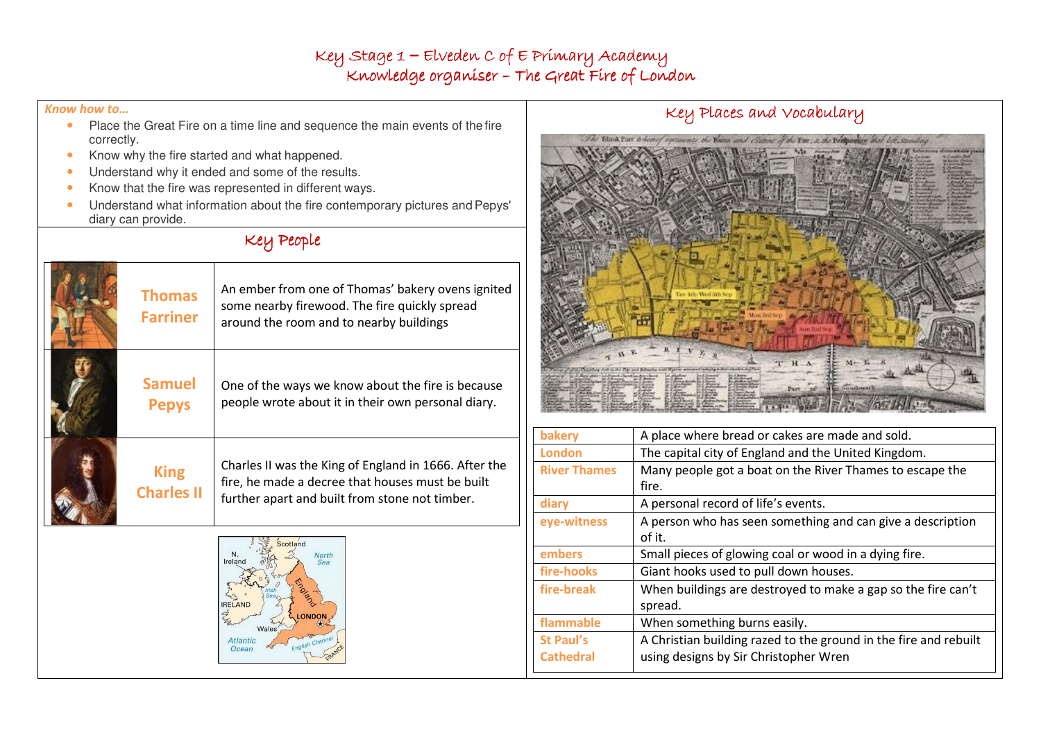## Key Stage 1 – Elveden C of E Primary AcademyKnowledge organiser – The Great Fire of London

#### Know how to…

- Place the Great Fire on a time line and sequence the main events of the fire  $\bullet$ correctly.
- Know why the fire started and what happened. •
- •Understand why it ended and some of the results.
- •Know that the fire was represented in different ways.
- • Understand what information about the fire contemporary pictures and Pepys' diary can provide.

# Key People

| <b>Thomas</b><br><b>Farriner</b> | An ember from one of Thomas' bakery ovens ignited<br>some nearby firewood. The fire quickly spread<br>around the room and to nearby buildings               |
|----------------------------------|-------------------------------------------------------------------------------------------------------------------------------------------------------------|
| <b>Samuel</b><br><b>Pepys</b>    | One of the ways we know about the fire is because<br>people wrote about it in their own personal diary.                                                     |
| <b>King</b><br><b>Charles II</b> | Charles II was the King of England in 1666. After the<br>fire, he made a decree that houses must be built<br>further apart and built from stone not timber. |



### Key Places and Vocabulary



| bakery              | A place where bread or cakes are made and sold.                  |  |
|---------------------|------------------------------------------------------------------|--|
| <b>London</b>       | The capital city of England and the United Kingdom.              |  |
| <b>River Thames</b> | Many people got a boat on the River Thames to escape the         |  |
|                     | fire.                                                            |  |
| diary               | A personal record of life's events.                              |  |
| eye-witness         | A person who has seen something and can give a description       |  |
|                     | of it.                                                           |  |
| embers              | Small pieces of glowing coal or wood in a dying fire.            |  |
| fire-hooks          | Giant hooks used to pull down houses.                            |  |
| fire-break          | When buildings are destroyed to make a gap so the fire can't     |  |
|                     | spread.                                                          |  |
| flammable           | When something burns easily.                                     |  |
| <b>St Paul's</b>    | A Christian building razed to the ground in the fire and rebuilt |  |
| <b>Cathedral</b>    | using designs by Sir Christopher Wren                            |  |
|                     |                                                                  |  |